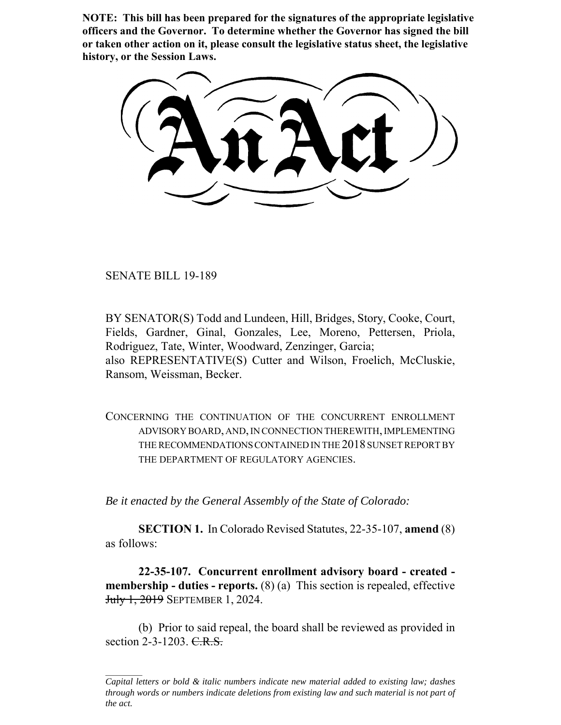**NOTE: This bill has been prepared for the signatures of the appropriate legislative officers and the Governor. To determine whether the Governor has signed the bill or taken other action on it, please consult the legislative status sheet, the legislative history, or the Session Laws.**

SENATE BILL 19-189

BY SENATOR(S) Todd and Lundeen, Hill, Bridges, Story, Cooke, Court, Fields, Gardner, Ginal, Gonzales, Lee, Moreno, Pettersen, Priola, Rodriguez, Tate, Winter, Woodward, Zenzinger, Garcia; also REPRESENTATIVE(S) Cutter and Wilson, Froelich, McCluskie, Ransom, Weissman, Becker.

CONCERNING THE CONTINUATION OF THE CONCURRENT ENROLLMENT ADVISORY BOARD, AND, IN CONNECTION THEREWITH, IMPLEMENTING THE RECOMMENDATIONS CONTAINED IN THE 2018 SUNSET REPORT BY THE DEPARTMENT OF REGULATORY AGENCIES.

*Be it enacted by the General Assembly of the State of Colorado:*

**SECTION 1.** In Colorado Revised Statutes, 22-35-107, **amend** (8) as follows:

**22-35-107. Concurrent enrollment advisory board - created membership - duties - reports.** (8) (a) This section is repealed, effective July 1, 2019 SEPTEMBER 1, 2024.

(b) Prior to said repeal, the board shall be reviewed as provided in section  $2-3-1203$ . C.R.S.

*Capital letters or bold & italic numbers indicate new material added to existing law; dashes through words or numbers indicate deletions from existing law and such material is not part of the act.*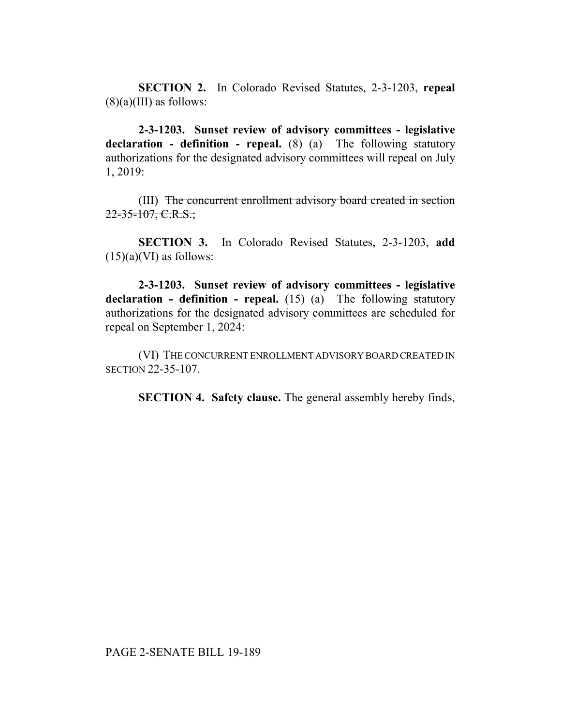**SECTION 2.** In Colorado Revised Statutes, 2-3-1203, **repeal**  $(8)(a)(III)$  as follows:

**2-3-1203. Sunset review of advisory committees - legislative declaration - definition - repeal.** (8) (a) The following statutory authorizations for the designated advisory committees will repeal on July 1, 2019:

(III) The concurrent enrollment advisory board created in section  $22-35-107, C.R.S.;$ 

**SECTION 3.** In Colorado Revised Statutes, 2-3-1203, **add**  $(15)(a)(VI)$  as follows:

**2-3-1203. Sunset review of advisory committees - legislative declaration - definition - repeal.** (15) (a) The following statutory authorizations for the designated advisory committees are scheduled for repeal on September 1, 2024:

(VI) THE CONCURRENT ENROLLMENT ADVISORY BOARD CREATED IN SECTION 22-35-107.

**SECTION 4. Safety clause.** The general assembly hereby finds,